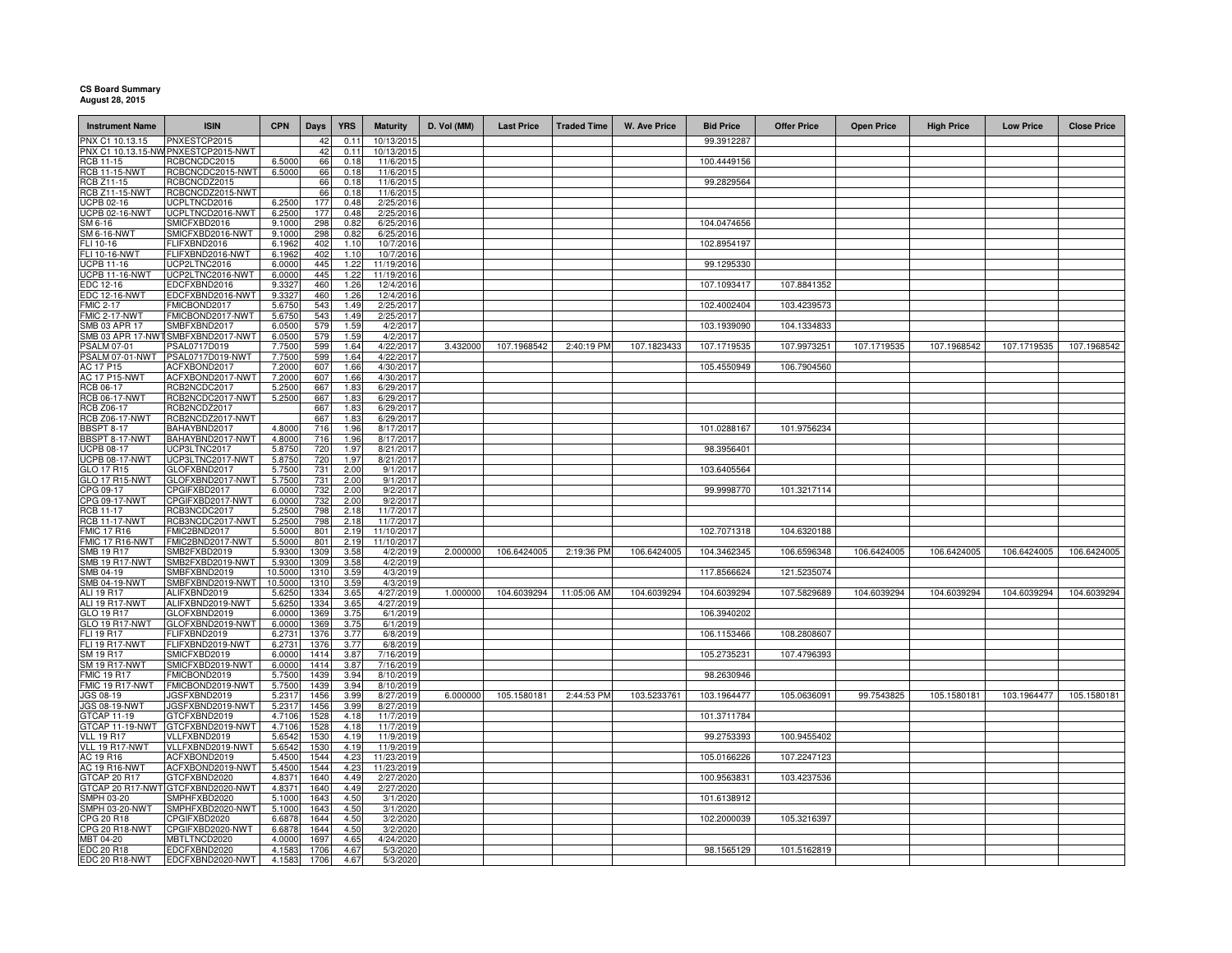## **CS Board Summary August 28, 2015**

| <b>Instrument Name</b>                     | <b>ISIN</b>                                         | <b>CPN</b>         | Days         | <b>YRS</b>   | <b>Maturity</b>         | D. Vol (MM) | <b>Last Price</b> | <b>Traded Time</b> | <b>W. Ave Price</b> | <b>Bid Price</b> | <b>Offer Price</b> | <b>Open Price</b> | <b>High Price</b> | <b>Low Price</b> | <b>Close Price</b> |
|--------------------------------------------|-----------------------------------------------------|--------------------|--------------|--------------|-------------------------|-------------|-------------------|--------------------|---------------------|------------------|--------------------|-------------------|-------------------|------------------|--------------------|
|                                            |                                                     |                    |              |              |                         |             |                   |                    |                     |                  |                    |                   |                   |                  |                    |
| PNX C1 10.13.15                            | PNXESTCP2015<br>PNX C1 10.13.15-NW PNXESTCP2015-NWT |                    | 42<br>42     | 0.1<br>0.11  | 10/13/201<br>10/13/2015 |             |                   |                    |                     | 99.3912287       |                    |                   |                   |                  |                    |
| RCB 11-15                                  | RCBCNCDC2015                                        | 6.5000             | 66           | 0.18         | 11/6/2015               |             |                   |                    |                     | 100.4449156      |                    |                   |                   |                  |                    |
| <b>RCB 11-15-NWT</b>                       | RCBCNCDC2015-NWT                                    | 6.5000             | 66           | 0.18         | 11/6/2015               |             |                   |                    |                     |                  |                    |                   |                   |                  |                    |
| <b>RCB Z11-15</b>                          | RCBCNCDZ2015                                        |                    | 66           | 0.18         | 11/6/2015               |             |                   |                    |                     | 99.2829564       |                    |                   |                   |                  |                    |
| <b>RCB Z11-15-NWT</b><br><b>ICPB 02-16</b> | RCBCNCDZ2015-NWT<br>UCPLTNCD2016                    | 6.2500             | 66<br>177    | 0.18<br>0.48 | 11/6/2015<br>2/25/2016  |             |                   |                    |                     |                  |                    |                   |                   |                  |                    |
| CPB 02-16-NWT                              | UCPLTNCD2016-NWT                                    | 6.2500             | 177          | 0.48         | 2/25/2016               |             |                   |                    |                     |                  |                    |                   |                   |                  |                    |
| SM 6-16                                    | SMICFXBD2016                                        | 9.1000             | 298          | 0.82         | 6/25/2016               |             |                   |                    |                     | 104.0474656      |                    |                   |                   |                  |                    |
| M 6-16-NWT                                 | SMICFXBD2016-NWT                                    | 9.1000             | 298          | 0.82         | 6/25/2016               |             |                   |                    |                     |                  |                    |                   |                   |                  |                    |
| ELI 10-16                                  | FLIFXBND2016                                        | 6.1962             | 402          | 1.10         | 10/7/2016               |             |                   |                    |                     | 102.8954197      |                    |                   |                   |                  |                    |
| FLI 10-16-NWT<br><b>ICPB 11-16</b>         | FLIFXBND2016-NWT<br>UCP2LTNC2016                    | 6.1962<br>6.0000   | 402<br>445   | 1.10<br>1.22 | 10/7/2016<br>11/19/2016 |             |                   |                    |                     | 99.1295330       |                    |                   |                   |                  |                    |
| <b>UCPB 11-16-NWT</b>                      | UCP2LTNC2016-NWT                                    | 6.0000             | 445          | 1.22         | 11/19/2016              |             |                   |                    |                     |                  |                    |                   |                   |                  |                    |
| EDC 12-16                                  | EDCFXBND2016                                        | 9.3327             | 460          | 1.26         | 12/4/2016               |             |                   |                    |                     | 107.1093417      | 107.8841352        |                   |                   |                  |                    |
| <b>EDC 12-16-NWT</b>                       | EDCFXBND2016-NWT                                    | 9.3327             | 460          | 1.26         | 12/4/2016               |             |                   |                    |                     |                  |                    |                   |                   |                  |                    |
| <b>FMIC 2-17</b>                           | FMICBOND2017                                        | 5.6750             | 543          | 1.49<br>1.49 | 2/25/2017               |             |                   |                    |                     | 102.4002404      | 103.4239573        |                   |                   |                  |                    |
| FMIC 2-17-NWT<br><b>SMB 03 APR 17</b>      | FMICBOND2017-NWT<br>SMBFXBND2017                    | 5.6750<br>6.0500   | 543<br>579   | 1.59         | 2/25/2017<br>4/2/2017   |             |                   |                    |                     | 103.1939090      | 104.1334833        |                   |                   |                  |                    |
| SMB 03 APR 17-NWT                          | SMBFXBND2017-NWT                                    | 6.0500             | 579          | 1.59         | 4/2/2017                |             |                   |                    |                     |                  |                    |                   |                   |                  |                    |
| 'SALM 07-01                                | PSAL0717D019                                        | 7.7500             | 599          | 1.64         | 4/22/2017               | 3.432000    | 107.1968542       | 2:40:19 PM         | 107.1823433         | 107.1719535      | 107.9973251        | 107.1719535       | 107.1968542       | 107.1719535      | 107.1968542        |
| PSALM 07-01-NWT                            | PSAL0717D019-NWT                                    | 7.7500             | 599          | 1.64         | 4/22/2017               |             |                   |                    |                     |                  |                    |                   |                   |                  |                    |
| AC 17 P15<br><b>AC 17 P15-NWT</b>          | ACFXBOND2017<br>ACFXBOND2017-NWT                    | 7.2000<br>7.2000   | 607<br>607   | 1.66<br>1.66 | 4/30/2017<br>4/30/2017  |             |                   |                    |                     | 105.4550949      | 106.7904560        |                   |                   |                  |                    |
| RCB 06-17                                  | RCB2NCDC2017                                        | 5.2500             | 667          | 1.83         | 6/29/2017               |             |                   |                    |                     |                  |                    |                   |                   |                  |                    |
| <b>RCB 06-17-NWT</b>                       | RCB2NCDC2017-NWT                                    | 5.2500             | 667          | 1.83         | 6/29/2017               |             |                   |                    |                     |                  |                    |                   |                   |                  |                    |
| <b>RCB Z06-17</b>                          | RCB2NCDZ2017                                        |                    | 667          | 1.83         | 6/29/2017               |             |                   |                    |                     |                  |                    |                   |                   |                  |                    |
| <b>RCB Z06-17-NWT</b>                      | RCB2NCDZ2017-NWT                                    |                    | 667          | 1.83         | 6/29/2017               |             |                   |                    |                     |                  |                    |                   |                   |                  |                    |
| <b>BBSPT 8-17</b><br>BBSPT 8-17-NWT        | BAHAYBND2017<br>BAHAYBND2017-NWT                    | 4.8000<br>4.8000   | 716<br>716   | 1.96<br>1.96 | 8/17/2017<br>8/17/2017  |             |                   |                    |                     | 101.0288167      | 101.9756234        |                   |                   |                  |                    |
| <b>UCPB 08-17</b>                          | UCP3LTNC2017                                        | 5.8750             | 720          | 1.97         | 8/21/2017               |             |                   |                    |                     | 98.3956401       |                    |                   |                   |                  |                    |
| <b>UCPB 08-17-NWT</b>                      | UCP3LTNC2017-NWT                                    | 5.8750             | 720          | 1.97         | 8/21/2017               |             |                   |                    |                     |                  |                    |                   |                   |                  |                    |
| GLO 17 R15<br><b>GLO 17 R15-NWT</b>        | GLOFXBND2017<br>GLOFXBND2017-NWT                    | 5.7500<br>5.7500   | 731<br>731   | 2.00<br>2.00 | 9/1/2017<br>9/1/2017    |             |                   |                    |                     | 103.6405564      |                    |                   |                   |                  |                    |
| PG 09-17                                   | CPGIFXBD2017                                        | 6.0000             | 732          | 20           | 9/2/2017                |             |                   |                    |                     | 99.9998770       | 101.3217114        |                   |                   |                  |                    |
| CPG 09-17-NWT                              | CPGIFXBD2017-NWT                                    | 6.0000             | 732          | 2.00         | 9/2/2017                |             |                   |                    |                     |                  |                    |                   |                   |                  |                    |
| <b>RCB 11-17</b>                           | RCB3NCDC2017                                        | 5.2500             | 798          | 218          | 11/7/2017               |             |                   |                    |                     |                  |                    |                   |                   |                  |                    |
| <b>RCB 11-17-NWT</b><br><b>FMIC 17 R16</b> | RCB3NCDC2017-NWT<br>FMIC2BND2017                    | 5.2500<br>5.5000   | 798<br>801   | 2.18<br>2.19 | 11/7/2017<br>11/10/2017 |             |                   |                    |                     | 102.7071318      | 104.6320188        |                   |                   |                  |                    |
| MIC 17 R16-NWT                             | FMIC2BND2017-NWT                                    | 5.5000             | 801          | 2.19         | 11/10/2017              |             |                   |                    |                     |                  |                    |                   |                   |                  |                    |
| MB 19 R17                                  | SMB2FXBD2019                                        | 5.9300             | 1309         | 3.58         | 4/2/2019                | 2.000000    | 106.6424005       | 2:19:36 PM         | 106.6424005         | 104.3462345      | 106.6596348        | 106.6424005       | 106.6424005       | 106.6424005      | 106.6424005        |
| MB 19 R17-NWT                              | SMB2FXBD2019-NWT                                    | 5.9300             | 1309         | 3.58         | 4/2/2019                |             |                   |                    |                     |                  |                    |                   |                   |                  |                    |
| MB 04-19                                   | SMBFXBND2019                                        | 10.5000<br>10.5000 | 1310<br>1310 | 3.59<br>3.59 | 4/3/2019<br>4/3/2019    |             |                   |                    |                     | 117.8566624      | 121.5235074        |                   |                   |                  |                    |
| MB 04-19-NWT<br>ALI 19 R17                 | SMBFXBND2019-NWT<br>ALIFXBND2019                    | 5.6250             | 1334         | 3.65         | 4/27/2019               | 1.000000    | 104.6039294       | 11:05:06 AM        | 104.6039294         | 104.6039294      | 107.5829689        | 104.6039294       | 104.6039294       | 104.6039294      | 104.6039294        |
| ALI 19 R17-NWT                             | ALIFXBND2019-NWT                                    | 5.6250             | 1334         | 3.65         | 4/27/2019               |             |                   |                    |                     |                  |                    |                   |                   |                  |                    |
| GLO 19 R17                                 | GLOFXBND2019                                        | 6.0000             | 1369         | 3.75         | 6/1/2019                |             |                   |                    |                     | 106.3940202      |                    |                   |                   |                  |                    |
| GLO 19 R17-NWT                             | GLOFXBND2019-NWT                                    | 6.0000             | 1369         | 3.75         | 6/1/2019                |             |                   |                    |                     |                  |                    |                   |                   |                  |                    |
| FLI 19 R17<br>LI 19 R17-NWT                | FLIFXBND2019<br>FLIFXBND2019-NWT                    | 6.2731<br>6.273    | 1376<br>1376 | 3.77<br>3.77 | 6/8/2019<br>6/8/2019    |             |                   |                    |                     | 106.1153466      | 108.2808607        |                   |                   |                  |                    |
| SM 19 R17                                  | SMICFXBD2019                                        | 6.0000             | 1414         | 3.87         | 7/16/2019               |             |                   |                    |                     | 105.2735231      | 107.4796393        |                   |                   |                  |                    |
| <b>SM 19 R17-NWT</b>                       | SMICFXBD2019-NWT                                    | 6.0000             | 1414         | 3.87         | 7/16/2019               |             |                   |                    |                     |                  |                    |                   |                   |                  |                    |
| <b>FMIC 19 R17</b>                         | FMICBOND2019                                        | 5.7500             | 1439         | 3.94         | 8/10/2019               |             |                   |                    |                     | 98.2630946       |                    |                   |                   |                  |                    |
| FMIC 19 R17-NWT<br>JGS 08-19               | FMICBOND2019-NWT<br>GSFXBND2019                     | 5.7500<br>5.231    | 1439<br>1456 | 3.94<br>3.99 | 8/10/2019<br>8/27/2019  | 6.000000    | 105.1580181       | 2:44:53 PM         | 103.5233761         | 103.1964477      | 105.0636091        | 99.7543825        | 105.1580181       | 103.1964477      | 105.1580181        |
| <b>JGS 08-19-NWT</b>                       | IGSFXBND2019-NWT                                    | 5.231              | 1456         | 3.99         | 8/27/2019               |             |                   |                    |                     |                  |                    |                   |                   |                  |                    |
| GTCAP 11-19                                | GTCFXBND2019                                        | 4.7106             | 1528         | 4.18         | 11/7/2019               |             |                   |                    |                     | 101.3711784      |                    |                   |                   |                  |                    |
| GTCAP 11-19-NWT<br><b>VLL 19 R17</b>       | GTCFXBND2019-NWT<br>VLLFXBND2019                    | 4.7106<br>5.6542   | 1528<br>1530 | 4.18<br>4.19 | 11/7/2019<br>11/9/2019  |             |                   |                    |                     |                  | 100.9455402        |                   |                   |                  |                    |
| VLL 19 R17-NWT                             | VLLFXBND2019-NWT                                    | 5.6542             | 1530         | 4.19         | 11/9/2019               |             |                   |                    |                     | 99.2753393       |                    |                   |                   |                  |                    |
| AC 19 R16                                  | ACFXBOND2019                                        | 5.4500             | 1544         | 4.23         | 11/23/2019              |             |                   |                    |                     | 105.0166226      | 107.2247123        |                   |                   |                  |                    |
| <b>AC 19 R16-NWT</b>                       | ACFXBOND2019-NWT                                    | 5.4500             | 1544         | 4.23         | 11/23/2019              |             |                   |                    |                     |                  |                    |                   |                   |                  |                    |
| GTCAP 20 R17<br>GTCAP 20 R17-NWT           | GTCFXBND2020<br>GTCFXBND2020-NWT                    | 4.8371             | 1640<br>1640 | 4.49         | 2/27/2020               |             |                   |                    |                     | 100.9563831      | 103.4237536        |                   |                   |                  |                    |
| <b>SMPH 03-20</b>                          | SMPHFXBD2020                                        | 4.8371<br>5.1000   | 1643         | 4.49<br>4.50 | 2/27/2020<br>3/1/2020   |             |                   |                    |                     | 101.6138912      |                    |                   |                   |                  |                    |
| SMPH 03-20-NWT                             | SMPHFXBD2020-NWT                                    | 5.1000             | 1643         | 4.50         | 3/1/2020                |             |                   |                    |                     |                  |                    |                   |                   |                  |                    |
| CPG 20 R18                                 | CPGIFXBD2020                                        | 6.6878             | 1644         | 4.50         | 3/2/2020                |             |                   |                    |                     | 102.2000039      | 105.3216397        |                   |                   |                  |                    |
| CPG 20 R18-NWT                             | CPGIFXBD2020-NWT                                    | 6.6878             | 1644         | 4.50         | 3/2/2020                |             |                   |                    |                     |                  |                    |                   |                   |                  |                    |
| MBT 04-20<br>EDC 20 R18                    | MBTLTNCD2020<br>EDCFXBND2020                        | 4.0000<br>4.1583   | 1697<br>1706 | 4.65<br>4.67 | 4/24/2020<br>5/3/2020   |             |                   |                    |                     | 98.1565129       | 101.5162819        |                   |                   |                  |                    |
| EDC 20 R18-NWT                             | EDCFXBND2020-NWT                                    | 4.1583             | 1706         | 4.67         | 5/3/2020                |             |                   |                    |                     |                  |                    |                   |                   |                  |                    |
|                                            |                                                     |                    |              |              |                         |             |                   |                    |                     |                  |                    |                   |                   |                  |                    |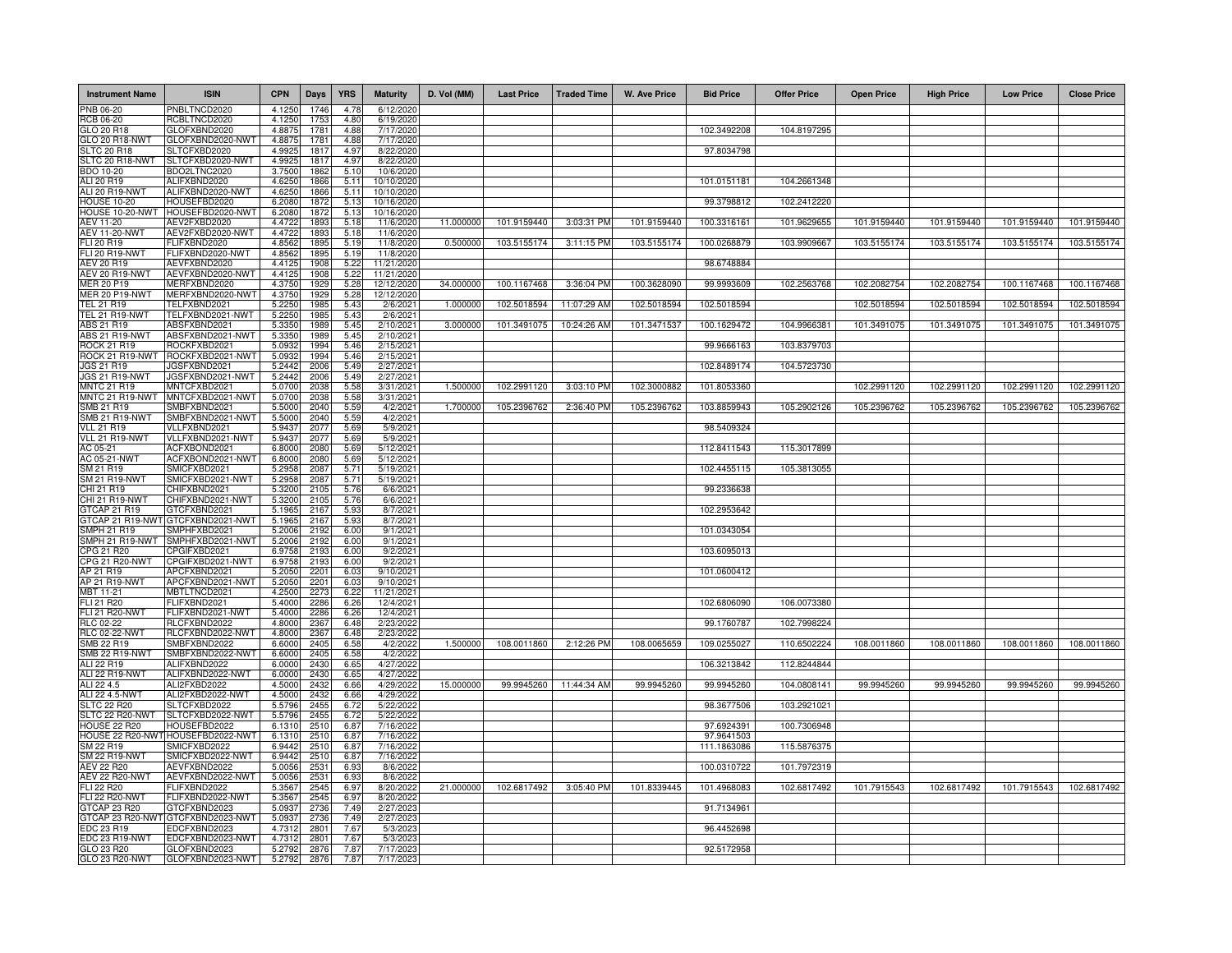| <b>Instrument Name</b>                     | <b>ISIN</b>                                       | <b>CPN</b>        | Days                    | <b>YRS</b>   | <b>Maturity</b>          | D. Vol (MM) | <b>Last Price</b> | <b>Traded Time</b> | <b>W. Ave Price</b> | <b>Bid Price</b>         | <b>Offer Price</b> | <b>Open Price</b> | <b>High Price</b> | <b>Low Price</b> | <b>Close Price</b> |
|--------------------------------------------|---------------------------------------------------|-------------------|-------------------------|--------------|--------------------------|-------------|-------------------|--------------------|---------------------|--------------------------|--------------------|-------------------|-------------------|------------------|--------------------|
| PNB 06-20                                  | PNBLTNCD2020                                      | 4.1250            | 1746                    | 4.78         | 6/12/202                 |             |                   |                    |                     |                          |                    |                   |                   |                  |                    |
| <b>RCB 06-20</b><br><b>GLO 20 R18</b>      | RCBLTNCD2020<br>GLOFXBND2020                      | 4.1250<br>4.887   | 175<br>178 <sup>1</sup> | 4.80<br>4.88 | 6/19/2020<br>7/17/2020   |             |                   |                    |                     | 102.3492208              | 104.8197295        |                   |                   |                  |                    |
| GLO 20 R18-NWT                             | GLOFXBND2020-NWT                                  | 4.887             | 1781                    | 4.88         | 7/17/2020                |             |                   |                    |                     |                          |                    |                   |                   |                  |                    |
| <b>SLTC 20 R18</b>                         | SLTCFXBD2020                                      | 4.992             | 181                     | 4.97         | 8/22/2020                |             |                   |                    |                     | 97.8034798               |                    |                   |                   |                  |                    |
| SLTC 20 R18-NWT<br>BDO 10-20               | SLTCFXBD2020-NWT<br>BDO2LTNC2020                  | 4.992<br>3.7500   | 1817<br>1862            | 4.97<br>5.10 | 8/22/2020<br>10/6/2020   |             |                   |                    |                     |                          |                    |                   |                   |                  |                    |
| ALI 20 R19                                 | ALIFXBND2020                                      | 4.6250            | 1866                    | 5.11         | 10/10/2020               |             |                   |                    |                     | 101.0151181              | 104.2661348        |                   |                   |                  |                    |
| ALI 20 R19-NWT                             | ALIFXBND2020-NWT                                  | 4.6250            | 1866                    | 5.11         | 10/10/2020               |             |                   |                    |                     |                          |                    |                   |                   |                  |                    |
| <b>HOUSE 10-20</b><br>HOUSE 10-20-NWT      | HOUSEFBD2020<br>HOUSEFBD2020-NWT                  | 6.2080<br>6.208   | 1872<br>1872            | 5.13<br>5.13 | 10/16/2020<br>10/16/2020 |             |                   |                    |                     | 99.3798812               | 102.2412220        |                   |                   |                  |                    |
| AEV 11-20                                  | AEV2FXBD2020                                      | 4.4722            | 1893                    | 5.18         | 11/6/2020                | 11.000000   | 101.9159440       | 3:03:31 PM         | 101.9159440         | 100.3316161              | 101.9629655        | 101.9159440       | 101.9159440       | 101.9159440      | 101.9159440        |
| <b>AEV 11-20-NWT</b>                       | AEV2FXBD2020-NWT                                  | 4.4722            | 1893                    | 5.18         | 11/6/2020                |             |                   |                    |                     |                          |                    |                   |                   |                  |                    |
| FLI 20 R19                                 | FLIFXBND2020                                      | 4.8562            | 1895                    | 5.19         | 11/8/2020                | 0.500000    | 103.5155174       | 3:11:15 PM         | 103.5155174         | 100.0268879              | 103.9909667        | 103.5155174       | 103.5155174       | 103.5155174      | 103.5155174        |
| <b>FLI 20 R19-NWT</b><br>AEV 20 R19        | FLIFXBND2020-NWT<br>AEVFXBND2020                  | 4.8562<br>4.4125  | 1895<br>1908            | 5.19<br>5.22 | 11/8/2020<br>11/21/2020  |             |                   |                    |                     | 98.6748884               |                    |                   |                   |                  |                    |
| AEV 20 R19-NWT                             | AEVFXBND2020-NWT                                  | 4.412             | 1908                    | 5.22         | 11/21/2020               |             |                   |                    |                     |                          |                    |                   |                   |                  |                    |
| MER 20 P19                                 | MERFXBND2020                                      | 4.3750            | 1929                    | 5.28         | 12/12/2020               | 34.000000   | 100.1167468       | 3:36:04 PM         | 100.3628090         | 99.9993609               | 102.2563768        | 102.2082754       | 102.2082754       | 100.1167468      | 100.1167468        |
| <b>MER 20 P19-NWT</b><br><b>TEL 21 R19</b> | MERFXBND2020-NWT<br>TELFXBND2021                  | 4.3750<br>5.2250  | 1929<br>1985            | 5.28<br>5.43 | 12/12/2020<br>2/6/2021   | 1.000000    | 102.5018594       | 11:07:29 AM        | 102.5018594         | 102.5018594              |                    | 102.5018594       | 102.5018594       | 102.5018594      | 102.5018594        |
| <b>TEL 21 R19-NWT</b>                      | TELFXBND2021-NWT                                  | 5.2250            | 1985                    | 5.43         | 2/6/2021                 |             |                   |                    |                     |                          |                    |                   |                   |                  |                    |
| ABS 21 R19                                 | ABSFXBND2021                                      | 5.3350            | 1989                    | 5.45         | 2/10/2021                | 3.000000    | 101.3491075       | 10:24:26 AM        | 101.3471537         | 100.1629472              | 104.9966381        | 101.3491075       | 101.3491075       | 101.3491075      | 101.3491075        |
| <b>ABS 21 R19-NWT</b><br>ROCK 21 R19       | ABSFXBND2021-NWT<br>ROCKFXBD2021                  | 5.335<br>5.093    | 1989<br>1994            | 5.45<br>5.46 | 2/10/2021<br>2/15/202    |             |                   |                    |                     | 99.9666163               | 103.8379703        |                   |                   |                  |                    |
| ROCK 21 R19-NWT                            | ROCKFXBD2021-NWT                                  | 5.093             | 1994                    | 5.46         | 2/15/202                 |             |                   |                    |                     |                          |                    |                   |                   |                  |                    |
| JGS 21 R19                                 | GSFXBND2021                                       | 5.244             | 2006                    | 5.49         | 2/27/202                 |             |                   |                    |                     | 102.8489174              | 104.5723730        |                   |                   |                  |                    |
| JGS 21 R19-NWT<br><b>MNTC 21 R19</b>       | JGSFXBND2021-NWT<br>MNTCFXBD2021                  | 5.2442<br>5.0700  | 2006<br>2038            | 5.49<br>5.58 | 2/27/2021<br>3/31/2021   | 1.500000    | 102.2991120       | 3:03:10 PM         | 102.3000882         | 101.8053360              |                    | 102.2991120       | 102.2991120       | 102.2991120      | 102.2991120        |
| MNTC 21 R19-NWT                            | MNTCFXBD2021-NWT                                  | 5.0700            | 2038                    | 5.58         | 3/31/2021                |             |                   |                    |                     |                          |                    |                   |                   |                  |                    |
| SMB 21 R19                                 | SMBFXBND2021                                      | 5.5000            | 2040                    | 5.59         | 4/2/2021                 | 1.700000    | 105.2396762       | 2:36:40 PM         | 105.2396762         | 103.8859943              | 105.2902126        | 105.2396762       | 105.2396762       | 105.2396762      | 105.2396762        |
| SMB 21 R19-NWT                             | SMBFXBND2021-NWT                                  | 5.5000            | 2040                    | 5.59         | 4/2/2021                 |             |                   |                    |                     |                          |                    |                   |                   |                  |                    |
| <b>VLL 21 R19</b><br>VLL 21 R19-NWT        | VLLFXBND2021<br>VLLFXBND2021-NWT                  | 5.943<br>5.943    | 2077<br>2077            | 5.69<br>5.69 | 5/9/2021<br>5/9/2021     |             |                   |                    |                     | 98.5409324               |                    |                   |                   |                  |                    |
| AC 05-21                                   | ACFXBOND2021                                      | 6.800             | 2080                    | 5.69         | 5/12/202                 |             |                   |                    |                     | 112.8411543              | 115.3017899        |                   |                   |                  |                    |
| AC 05-21-NWT                               | ACFXBOND2021-NWT                                  | 6.800             | 2080                    | 5.69         | 5/12/2021                |             |                   |                    |                     |                          |                    |                   |                   |                  |                    |
| M 21 R19<br><b>SM 21 R19-NWT</b>           | SMICFXBD2021<br>SMICFXBD2021-NWT                  | 5.295<br>5.295    | 2087<br>2087            | 5.71<br>5.71 | 5/19/2021<br>5/19/202    |             |                   |                    |                     | 102.4455115              | 105.3813055        |                   |                   |                  |                    |
| HI 21 R19                                  | CHIFXBND2021                                      | 5.320             | 2105                    | 5.76         | 6/6/202                  |             |                   |                    |                     | 99.2336638               |                    |                   |                   |                  |                    |
| CHI 21 R19-NWT                             | CHIFXBND2021-NWT                                  | 5.320             | 210                     | 5.76         | 6/6/202                  |             |                   |                    |                     |                          |                    |                   |                   |                  |                    |
| 3TCAP 21 R19<br>TCAP 21 R19-NWT            | GTCFXBND2021<br>GTCFXBND2021-NWT                  | 5.196<br>5 196    | 2167<br>2167            | 5.93<br>5.93 | 8/7/202<br>8/7/202       |             |                   |                    |                     | 102.2953642              |                    |                   |                   |                  |                    |
| <b>SMPH 21 R19</b>                         | SMPHFXBD2021                                      | 5.2006            | 2192                    | 6.00         | 9/1/2021                 |             |                   |                    |                     | 101.0343054              |                    |                   |                   |                  |                    |
| SMPH 21 R19-NWT                            | SMPHFXBD2021-NWT                                  | 5.2006            | 2192                    | 6.00         | 9/1/202                  |             |                   |                    |                     |                          |                    |                   |                   |                  |                    |
| CPG 21 R20<br>CPG 21 R20-NWT               | CPGIFXBD2021<br>CPGIFXBD2021-NWT                  | 6.9758<br>6.9758  | 2193<br>2193            | 6.00<br>6.00 | 9/2/2021<br>9/2/2021     |             |                   |                    |                     | 103.6095013              |                    |                   |                   |                  |                    |
| AP 21 R19                                  | APCFXBND2021                                      | 5.2050            | 2201                    | 6.03         | 9/10/2021                |             |                   |                    |                     | 101.0600412              |                    |                   |                   |                  |                    |
| AP 21 R19-NWT                              | APCFXBND2021-NWT                                  | 5.2050            | 2201                    | 6.03         | 9/10/2021                |             |                   |                    |                     |                          |                    |                   |                   |                  |                    |
| MBT 11-21<br>FLI 21 R20                    | MBTLTNCD2021<br>FLIFXBND2021                      | 4.2500<br>5.4000  | 2273<br>2286            | 6.22<br>6.26 | 11/21/2021<br>12/4/2021  |             |                   |                    |                     | 102.6806090              | 106.0073380        |                   |                   |                  |                    |
| FLI 21 R20-NWT                             | FLIFXBND2021-NWT                                  | 5.4000            | 2286                    | 6.26         | 12/4/2021                |             |                   |                    |                     |                          |                    |                   |                   |                  |                    |
| RLC 02-22                                  | RLCFXBND2022                                      | 4.8000            | 2367                    | 6.48         | 2/23/2022                |             |                   |                    |                     | 99.1760787               | 102.7998224        |                   |                   |                  |                    |
| <b>RLC 02-22-NWT</b><br>SMB 22 R19         | RLCFXBND2022-NWT<br>SMBFXBND2022                  | 4.8000<br>6.6000  | 2367<br>2405            | 6.48<br>6.58 | 2/23/2022<br>4/2/2022    | 1.500000    | 108.0011860       | 2:12:26 PM         | 108.0065659         | 109.0255027              |                    | 108.0011860       | 108.0011860       |                  | 108.0011860        |
| <b>SMB 22 R19-NWT</b>                      | SMBFXBND2022-NWT                                  | 6.6000            | 2405                    | 6.58         | 4/2/2022                 |             |                   |                    |                     |                          | 110.6502224        |                   |                   | 108.0011860      |                    |
| ALI 22 R19                                 | ALIFXBND2022                                      | 6.0000            | 2430                    | 6.65         | 4/27/2022                |             |                   |                    |                     | 106.3213842              | 112.8244844        |                   |                   |                  |                    |
| <b>ALI 22 R19-NWT</b>                      | ALIFXBND2022-NWT                                  | 6.0000            | 2430                    | 6.65         | 4/27/2022                |             |                   |                    |                     |                          |                    |                   |                   |                  |                    |
| ALI 22 4.5<br>ALI 22 4.5-NWT               | ALI2FXBD2022<br>ALI2FXBD2022-NWT                  | 4.5000<br>4.5000  | 2432<br>2432            | 6.66<br>6.66 | 4/29/2022<br>4/29/202    | 15.000000   | 99.9945260        | 11:44:34 AM        | 99.9945260          | 99.9945260               | 104.0808141        | 99.9945260        | 99.9945260        | 99.9945260       | 99.9945260         |
| <b>SLTC 22 R20</b>                         | SLTCFXBD2022                                      | 5.5796            | 2455                    | 6.72         | 5/22/2022                |             |                   |                    |                     | 98.3677506               | 103.2921021        |                   |                   |                  |                    |
| SLTC 22 R20-NWT                            | SLTCFXBD2022-NWT                                  | 5.5796            | 2455                    | 6.72         | 5/22/2022                |             |                   |                    |                     |                          |                    |                   |                   |                  |                    |
| HOUSE 22 R20                               | HOUSEFBD2022<br>HOUSE 22 R20-NWT HOUSEFBD2022-NWT | 6.1310<br>6.1310  | 2510<br>2510            | 6.87<br>6.87 | 7/16/2022<br>7/16/2022   |             |                   |                    |                     | 97.6924391<br>97.9641503 | 100.7306948        |                   |                   |                  |                    |
| SM 22 R19                                  | SMICFXBD2022                                      | 6.9442            | 2510                    | 6.87         | 7/16/2022                |             |                   |                    |                     | 111.1863086              | 115.5876375        |                   |                   |                  |                    |
| SM 22 R19-NWT                              | SMICFXBD2022-NWT                                  | 6.9442            | 2510                    | 6.87         | 7/16/2022                |             |                   |                    |                     |                          |                    |                   |                   |                  |                    |
| AEV 22 R20<br><b>AEV 22 R20-NWT</b>        | AEVFXBND2022<br>AEVFXBND2022-NWT                  | 5.0056            | 2531<br>2531            | 6.93<br>6.93 | 8/6/2022<br>8/6/2022     |             |                   |                    |                     | 100.0310722              | 101.7972319        |                   |                   |                  |                    |
| <b>FLI 22 R20</b>                          | FLIFXBND2022                                      | 5.005<br>5.356    | 2545                    | 6.97         | 8/20/2022                | 21.000000   | 102.6817492       | 3:05:40 PM         | 101.8339445         | 101.4968083              | 102.6817492        | 101.7915543       | 102.6817492       | 101.7915543      | 102.6817492        |
| <b>FLI 22 R20-NWT</b>                      | FLIFXBND2022-NWT                                  | 5.356             | 2545                    | 6.97         | 8/20/2022                |             |                   |                    |                     |                          |                    |                   |                   |                  |                    |
| <b>GTCAP 23 R20</b>                        | GTCFXBND2023<br>GTCAP 23 R20-NWT GTCFXBND2023-NWT | 5.093<br>5.093    | 2736<br>2736            | 7.49<br>7.49 | 2/27/2023<br>2/27/2023   |             |                   |                    |                     | 91.7134961               |                    |                   |                   |                  |                    |
| EDC 23 R19                                 | EDCFXBND2023                                      | 4.73 <sup>1</sup> | 2801                    | 7.67         | 5/3/2023                 |             |                   |                    |                     | 96.4452698               |                    |                   |                   |                  |                    |
| EDC 23 R19-NWT                             | EDCFXBND2023-NWT                                  | $4.73^{\circ}$    | 2801                    | 7.67         | 5/3/2023                 |             |                   |                    |                     |                          |                    |                   |                   |                  |                    |
| GLO 23 R20                                 | GLOFXBND2023                                      | 5.279             | 2876                    | 7.87         | 7/17/202                 |             |                   |                    |                     | 92.5172958               |                    |                   |                   |                  |                    |
| GLO 23 R20-NWT                             | GLOFXBND2023-NWT                                  | 5.2792            | 2876                    | 7.87         | 7/17/2023                |             |                   |                    |                     |                          |                    |                   |                   |                  |                    |